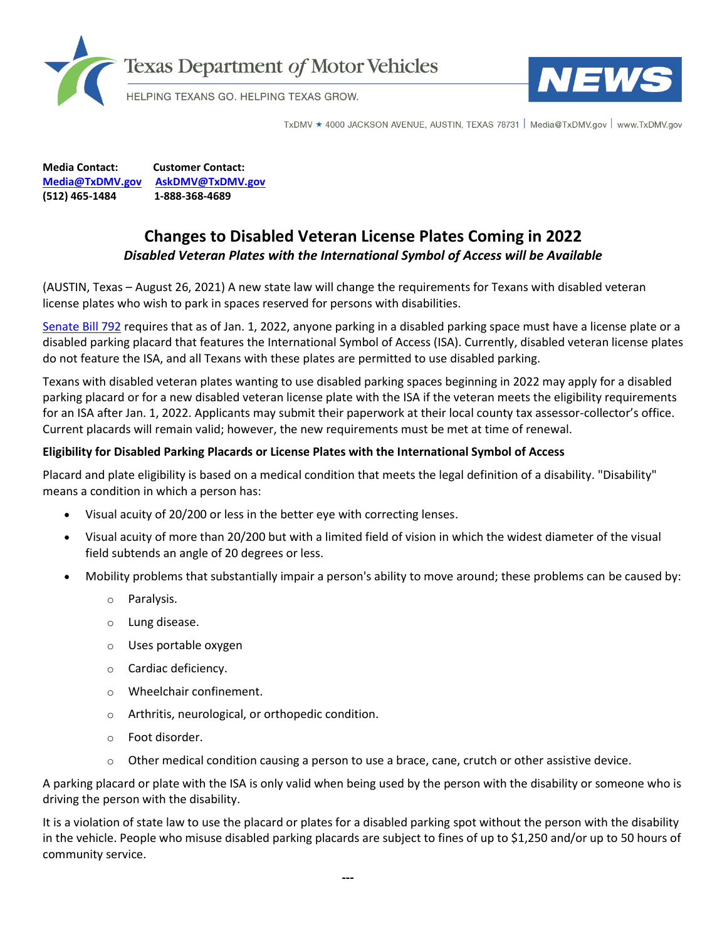



TxDMV ★ 4000 JACKSON AVENUE, AUSTIN, TEXAS 78731 Nedia@TxDMV.gov | www.TxDMV.gov

**Media Contact: Customer Contact: [Media@TxDMV.gov](mailto:Media@TxDMV.gov) [AskDMV@TxDMV.gov](mailto:AskDMV@TxDMV.gov) (512) 465-1484 1-888-368-4689**

## **Changes to Disabled Veteran License Plates Coming in 2022** *Disabled Veteran Plates with the International Symbol of Access will be Available*

(AUSTIN, Texas – August 26, 2021) A new state law will change the requirements for Texans with disabled veteran license plates who wish to park in spaces reserved for persons with disabilities.

[Senate Bill 792](https://capitol.texas.gov/BillLookup/History.aspx?LegSess=87R&Bill=SB792) requires that as of Jan. 1, 2022, anyone parking in a disabled parking space must have a license plate or a disabled parking placard that features the International Symbol of Access (ISA). Currently, disabled veteran license plates do not feature the ISA, and all Texans with these plates are permitted to use disabled parking.

Texans with disabled veteran plates wanting to use disabled parking spaces beginning in 2022 may apply for a disabled parking placard or for a new disabled veteran license plate with the ISA if the veteran meets the eligibility requirements for an ISA after Jan. 1, 2022. Applicants may submit their paperwork at their local county tax assessor-collector's office. Current placards will remain valid; however, the new requirements must be met at time of renewal.

## **Eligibility for Disabled Parking Placards or License Plates with the International Symbol of Access**

Placard and plate eligibility is based on a medical condition that meets the legal definition of a disability. "Disability" means a condition in which a person has:

- Visual acuity of 20/200 or less in the better eye with correcting lenses.
- Visual acuity of more than 20/200 but with a limited field of vision in which the widest diameter of the visual field subtends an angle of 20 degrees or less.
- Mobility problems that substantially impair a person's ability to move around; these problems can be caused by:
	- o Paralysis.
	- o Lung disease.
	- o Uses portable oxygen
	- o Cardiac deficiency.
	- o Wheelchair confinement.
	- o Arthritis, neurological, or orthopedic condition.
	- o Foot disorder.
	- $\circ$  Other medical condition causing a person to use a brace, cane, crutch or other assistive device.

A parking placard or plate with the ISA is only valid when being used by the person with the disability or someone who is driving the person with the disability.

It is a violation of state law to use the placard or plates for a disabled parking spot without the person with the disability in the vehicle. People who misuse disabled parking placards are subject to fines of up to \$1,250 and/or up to 50 hours of community service.